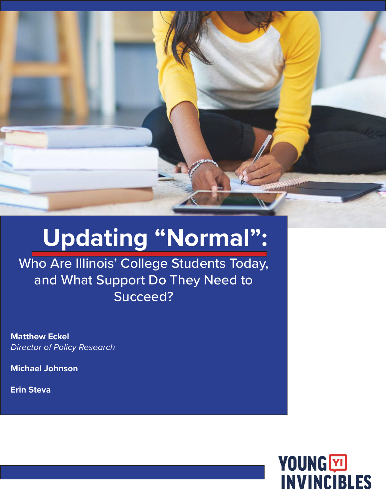

# **Updating "Normal":**

Who Are Illinois' College Students Today, and What Support Do They Need to Succeed?

**Matthew Eckel** *Director of Policy Research*

**Michael Johnson**

**Erin Steva**

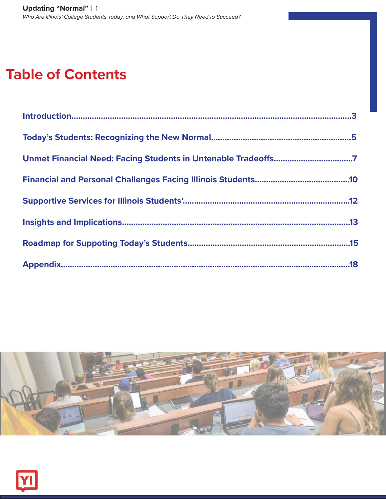# **Table of Contents**

| Unmet Financial Need: Facing Students in Untenable Tradeoffs7 |
|---------------------------------------------------------------|
|                                                               |
|                                                               |
|                                                               |
|                                                               |
|                                                               |



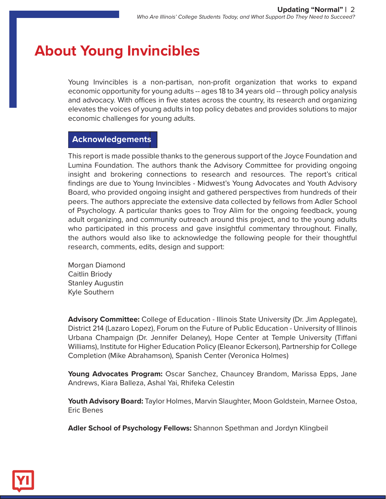# **About Young Invincibles**

Young Invincibles is a non-partisan, non-profit organization that works to expand economic opportunity for young adults -- ages 18 to 34 years old -- through policy analysis and advocacy. With offices in five states across the country, its research and organizing elevates the voices of young adults in top policy debates and provides solutions to major economic challenges for young adults.

# **Acknowledgements Acknowledgements**

This report is made possible thanks to the generous support of the Joyce Foundation and Lumina Foundation. The authors thank the Advisory Committee for providing ongoing insight and brokering connections to research and resources. The report's critical findings are due to Young Invincibles - Midwest's Young Advocates and Youth Advisory Board, who provided ongoing insight and gathered perspectives from hundreds of their peers. The authors appreciate the extensive data collected by fellows from Adler School of Psychology. A particular thanks goes to Troy Alim for the ongoing feedback, young adult organizing, and community outreach around this project, and to the young adults who participated in this process and gave insightful commentary throughout. Finally, the authors would also like to acknowledge the following people for their thoughtful research, comments, edits, design and support:

Morgan Diamond Caitlin Briody Stanley Augustin Kyle Southern

**Advisory Committee:** College of Education - Illinois State University (Dr. Jim Applegate), District 214 (Lazaro Lopez), Forum on the Future of Public Education - University of Illinois Urbana Champaign (Dr. Jennifer Delaney), Hope Center at Temple University (Tiffani Williams), Institute for Higher Education Policy (Eleanor Eckerson), Partnership for College Completion (Mike Abrahamson), Spanish Center (Veronica Holmes)

**Young Advocates Program:** Oscar Sanchez, Chauncey Brandom, Marissa Epps, Jane Andrews, Kiara Balleza, Ashal Yai, Rhifeka Celestin

**Youth Advisory Board:** Taylor Holmes, Marvin Slaughter, Moon Goldstein, Marnee Ostoa, Eric Benes

**Adler School of Psychology Fellows:** Shannon Spethman and Jordyn Klingbeil

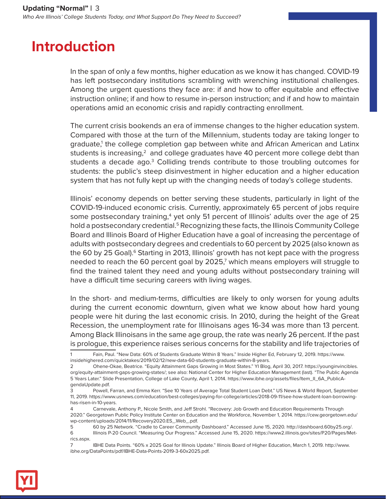# **Introduction**

In the span of only a few months, higher education as we know it has changed. COVID-19 has left postsecondary institutions scrambling with wrenching institutional challenges. Among the urgent questions they face are: if and how to offer equitable and effective instruction online; if and how to resume in-person instruction; and if and how to maintain operations amid an economic crisis and rapidly contracting enrollment.

The current crisis bookends an era of immense changes to the higher education system. Compared with those at the turn of the Millennium, students today are taking longer to graduate,<sup>1</sup> the college completion gap between white and African American and Latinx students is increasing, $^2$  and college graduates have 40 percent more college debt than students a decade ago.<sup>3</sup> Colliding trends contribute to those troubling outcomes for students: the public's steep disinvestment in higher education and a higher education system that has not fully kept up with the changing needs of today's college students.

Illinois' economy depends on better serving these students, particularly in light of the COVID-19-induced economic crisis. Currently, approximately 65 percent of jobs require some postsecondary training,<sup>4</sup> yet only 51 percent of Illinois' adults over the age of 25 hold a postsecondary credential.<sup>5</sup> Recognizing these facts, the Illinois Community College Board and Illinois Board of Higher Education have a goal of increasing the percentage of adults with postsecondary degrees and credentials to 60 percent by 2025 (also known as the 60 by 25 Goal).<sup>6</sup> Starting in 2013, Illinois' growth has not kept pace with the progress needed to reach the 60 percent goal by 2025,<sup>7</sup> which means employers will struggle to find the trained talent they need and young adults without postsecondary training will have a difficult time securing careers with living wages.

In the short- and medium-terms, difficulties are likely to only worsen for young adults during the current economic downturn, given what we know about how hard young people were hit during the last economic crisis. In 2010, during the height of the Great Recession, the unemployment rate for Illinoisans ages 16-34 was more than 13 percent. Among Black Illinoisans in the same age group, the rate was nearly 26 percent. If the past is prologue, this experience raises serious concerns for the stability and life trajectories of



<sup>1</sup> Fain, Paul. "New Data: 60% of Students Graduate Within 8 Years." Inside Higher Ed, February 12, 2019. https://www. insidehighered.com/quicktakes/2019/02/12/new-data-60-students-graduate-within-8-years.

<sup>2</sup> Ohene-Okae, Beatrice. "Equity Attainment Gaps Growing in Most States." YI Blog, April 30, 2017. https://younginvincibles. org/equity-attainment-gaps-growing-states/; see also: National Center for Higher Education Management (last). "The Public Agenda 5 Years Later." Slide Presentation, College of Lake County, April 1, 2014. https://www.ibhe.org/assets/files/Item\_II\_6A\_PublicAgendaUpdate.pdf.

<sup>3</sup> Powell, Farran, and Emma Kerr. "See 10 Years of Average Total Student Loan Debt." US News & World Report, September 11, 2019. https://www.usnews.com/education/best-colleges/paying-for-college/articles/2018-09-11/see-how-student-loan-borrowinghas-risen-in-10-years.

<sup>4</sup> Carnevale, Anthony P., Nicole Smith, and Jeff Strohl. "Recovery: Job Growth and Education Requirements Through 2020." Georgetown Public Policy Institute Center on Education and the Workforce, November 1, 2014. https://cew.georgetown.edu/ wp-content/uploads/2014/11/Recovery2020.ES\_.Web\_.pdf.

<sup>5</sup> 60 by 25 Network. "Cradle to Career Community Dashboard." Accessed June 15, 2020. http://dashboard.60by25.org/.

<sup>6</sup> Illinois P-20 Council. "Measuring Our Progress." Accessed June 15, 2020. https://www2.illinois.gov/sites/P20/Pages/Metrics.aspx.

<sup>7</sup> IBHE Data Points. "60% x 2025 Goal for Illinois Update." Illinois Board of Higher Education, March 1, 2019. http://www. ibhe.org/DataPoints/pdf/IBHE-Data-Points-2019-3-60x2025.pdf.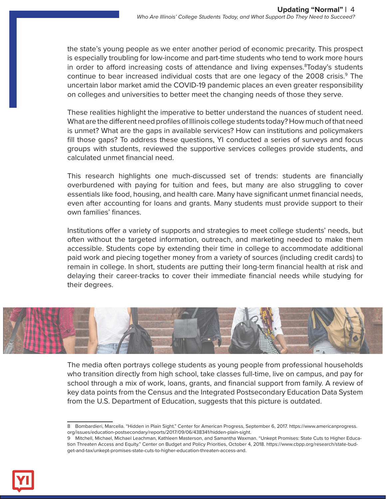the state's young people as we enter another period of economic precarity. This prospect is especially troubling for low-income and part-time students who tend to work more hours in order to afford increasing costs of attendance and living expenses.<sup>8</sup>Today's students continue to bear increased individual costs that are one legacy of the 2008 crisis.<sup>9</sup> The uncertain labor market amid the COVID-19 pandemic places an even greater responsibility on colleges and universities to better meet the changing needs of those they serve.

These realities highlight the imperative to better understand the nuances of student need. What are the different need profiles of Illinois college students today? How much of that need is unmet? What are the gaps in available services? How can institutions and policymakers fill those gaps? To address these questions, YI conducted a series of surveys and focus groups with students, reviewed the supportive services colleges provide students, and calculated unmet financial need.

This research highlights one much-discussed set of trends: students are financially overburdened with paying for tuition and fees, but many are also struggling to cover essentials like food, housing, and health care. Many have significant unmet financial needs, even after accounting for loans and grants. Many students must provide support to their own families' finances.

Institutions offer a variety of supports and strategies to meet college students' needs, but often without the targeted information, outreach, and marketing needed to make them accessible. Students cope by extending their time in college to accommodate additional paid work and piecing together money from a variety of sources (including credit cards) to remain in college. In short, students are putting their long-term financial health at risk and delaying their career-tracks to cover their immediate financial needs while studying for their degrees.



The media often portrays college students as young people from professional households who transition directly from high school, take classes full-time, live on campus, and pay for school through a mix of work, loans, grants, and financial support from family. A review of key data points from the Census and the Integrated Postsecondary Education Data System from the U.S. Department of Education, suggests that this picture is outdated.



<sup>8</sup> Bombardieri, Marcella. "Hidden in Plain Sight." Center for American Progress, September 6, 2017. https://www.americanprogress. org/issues/education-postsecondary/reports/2017/09/06/438341/hidden-plain-sight.

<sup>9</sup> Mitchell, Michael, Michael Leachman, Kathleen Masterson, and Samantha Waxman. "Unkept Promises: State Cuts to Higher Education Threaten Access and Equity." Center on Budget and Policy Priorities, October 4, 2018. https://www.cbpp.org/research/state-budget-and-tax/unkept-promises-state-cuts-to-higher-education-threaten-access-and.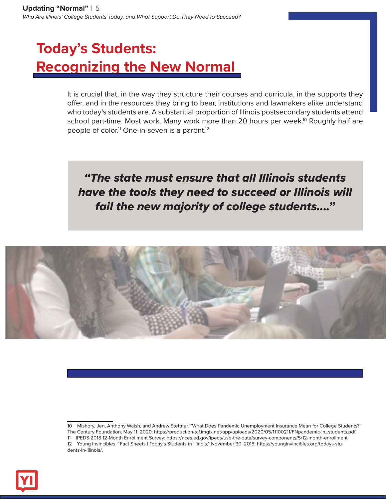# **Today's Students: Recognizing the New Normal**

It is crucial that, in the way they structure their courses and curricula, in the supports they offer, and in the resources they bring to bear, institutions and lawmakers alike understand who today's students are. A substantial proportion of Illinois postsecondary students attend school part-time. Most work. Many work more than 20 hours per week.<sup>10</sup> Roughly half are people of color.<sup>11</sup> One-in-seven is a parent.<sup>12</sup>

*"The state must ensure that all Illinois students have the tools they need to succeed or Illinois will fail the new majority of college students...."*





<sup>10</sup> Mishory, Jen, Anthony Walsh, and Andrew Stettner. "What Does Pandemic Unemployment Insurance Mean for College Students?" The Century Foundation, May 11, 2020. https://production-tcf.imgix.net/app/uploads/2020/05/11100211/FNpandemic-in\_students.pdf. 11 IPEDS 2018 12-Month Enrollment Survey: https://nces.ed.gov/ipeds/use-the-data/survey-components/5/12-month-enrollment 12 Young Invincibles. "Fact Sheets | Today's Students in Illinois," November 30, 2018. https://younginvincibles.org/todays-students-in-illinois/.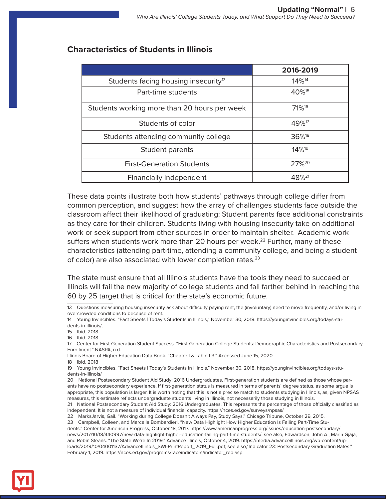|                                                  | 2016-2019         |
|--------------------------------------------------|-------------------|
| Students facing housing insecurity <sup>13</sup> | 14% <sup>14</sup> |
| Part-time students                               | 40% <sup>15</sup> |
| Students working more than 20 hours per week     | 71% <sup>16</sup> |
| Students of color                                | 49% <sup>17</sup> |
| Students attending community college             | 36% <sup>18</sup> |
| Student parents                                  | 14% <sup>19</sup> |
| <b>First-Generation Students</b>                 | 27% <sup>20</sup> |
| <b>Financially Independent</b>                   | $48\%^{21}$       |

## **Characteristics of Students in Illinois**

These data points illustrate both how students' pathways through college differ from common perception, and suggest how the array of challenges students face outside the classroom affect their likelihood of graduating: Student parents face additional constraints as they care for their children. Students living with housing insecurity take on additional work or seek support from other sources in order to maintain shelter. Academic work suffers when students work more than 20 hours per week.<sup>22</sup> Further, many of these characteristics (attending part-time, attending a community college, and being a student of color) are also associated with lower completion rates.<sup>23</sup>

The state must ensure that all Illinois students have the tools they need to succeed or Illinois will fail the new majority of college students and fall farther behind in reaching the 60 by 25 target that is critical for the state's economic future.



<sup>13</sup> Questions measuring housing insecurity ask about difficulty paying rent, the (involuntary) need to move frequently, and/or living in overcrowded conditions to because of rent.

<sup>14</sup> Young Invincibles. "Fact Sheets | Today's Students in Illinois," November 30, 2018. https://younginvincibles.org/todays-students-in-illinois/.

<sup>15</sup> Ibid. 2018

<sup>16</sup> Ibid. 2018

<sup>17</sup> Center for First-Generation Student Success. "First-Generation College Students: Demographic Characteristics and Postsecondary Enrollment." NASPA, n.d.

Illinois Board of Higher Education Data Book. "Chapter I & Table I-3." Accessed June 15, 2020.

<sup>18</sup> Ibid. 2018

<sup>19</sup> Young Invincibles. "Fact Sheets | Today's Students in Illinois," November 30, 2018. https://younginvincibles.org/todays-students-in-illinois/

<sup>20</sup> National Postsecondary Student Aid Study: 2016 Undergraduates. First-generation students are defined as those whose parents have no postsecondary experience. If first-generation status is measured in terms of parents' degree status, as some argue is appropriate, this population is larger. It is worth noting that this is not a precise match to students studying in Illinois, as, given NPSAS measures, this estimate reflects undergraduate students living in Illinois, not necessarily those studying in Illinois.

<sup>21</sup> National Postsecondary Student Aid Study: 2016 Undergraduates. This represents the percentage of those officially classified as independent. It is not a measure of individual financial capacity. https://nces.ed.gov/surveys/npsas/

<sup>22</sup> MarksJarvis, Gail. "Working during College Doesn't Always Pay, Study Says." Chicago Tribune, October 29, 2015.

<sup>23</sup> Campbell, Colleen, and Marcella Bombardieri. "New Data Highlight How Higher Education Is Failing Part-Time Stu-

dents." Center for American Progress, October 18, 2017. https://www.americanprogress.org/issues/education-postsecondary/ news/2017/10/18/440997/new-data-highlight-higher-education-failing-part-time-students/; see also, Edwardson, John A., Marin Gjaja, and Robin Steans. "The State We're In 2019." Advance Illinois, October 4, 2019. https://media.advanceillinois.org/wp-content/uploads/2019/10/04001137/AdvanceIllinois\_SWI-PrintReport\_2019\_Full.pdf; see also,"Indicator 23: Postsecondary Graduation Rates," February 1, 2019. https://nces.ed.gov/programs/raceindicators/indicator\_red.asp.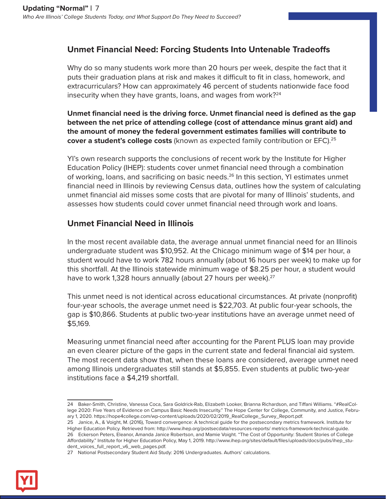# **Unmet Financial Need: Forcing Students Into Untenable Tradeoffs**

Why do so many students work more than 20 hours per week, despite the fact that it puts their graduation plans at risk and makes it difficult to fit in class, homework, and extracurriculars? How can approximately 46 percent of students nationwide face food insecurity when they have grants, loans, and wages from work?<sup>24</sup>

**Unmet financial need is the driving force. Unmet financial need is defined as the gap between the net price of attending college (cost of attendance minus grant aid) and the amount of money the federal government estimates families will contribute to cover a student's college costs** (known as expected family contribution or EFC).25

YI's own research supports the conclusions of recent work by the Institute for Higher Education Policy (IHEP): students cover unmet financial need through a combination of working, loans, and sacrificing on basic needs.<sup>26</sup> In this section, YI estimates unmet financial need in Illinois by reviewing Census data, outlines how the system of calculating unmet financial aid misses some costs that are pivotal for many of Illinois' students, and assesses how students could cover unmet financial need through work and loans.

## **Unmet Financial Need in Illinois**

In the most recent available data, the average annual unmet financial need for an Illinois undergraduate student was \$10,952. At the Chicago minimum wage of \$14 per hour, a student would have to work 782 hours annually (about 16 hours per week) to make up for this shortfall. At the Illinois statewide minimum wage of \$8.25 per hour, a student would have to work 1,328 hours annually (about 27 hours per week).<sup>27</sup>

This unmet need is not identical across educational circumstances. At private (nonprofit) four-year schools, the average unmet need is \$22,703. At public four-year schools, the gap is \$10,866. Students at public two-year institutions have an average unmet need of \$5,169.

Measuring unmet financial need after accounting for the Parent PLUS loan may provide an even clearer picture of the gaps in the current state and federal financial aid system. The most recent data show that, when these loans are considered, average unmet need among Illinois undergraduates still stands at \$5,855. Even students at public two-year institutions face a \$4,219 shortfall.



<sup>24</sup> Baker-Smith, Christine, Vanessa Coca, Sara Goldrick-Rab, Elizabeth Looker, Brianna Richardson, and Tiffani Williams. "#RealCollege 2020: Five Years of Evidence on Campus Basic Needs Insecurity." The Hope Center for College, Community, and Justice, February 1, 2020. https://hope4college.com/wp-content/uploads/2020/02/2019\_RealCollege\_Survey\_Report.pdf.

<sup>25</sup> Janice, A., & Voight, M. (2016), Toward convergence: A technical guide for the postsecondary metrics framework. Institute for Higher Education Policy. Retrieved from: http://www.ihep.org/postsecdata/resources-reports/ metrics-framework-technical-guide. 26 Eckerson Peters, Eleanor, Amanda Janice Robertson, and Mamie Voight. "The Cost of Opportunity: Student Stories of College Affordability." Institute for Higher Education Policy, May 1, 2019. http://www.ihep.org/sites/default/files/uploads/docs/pubs/ihep\_student\_voices\_full\_report\_v6\_web\_pages.pdf.

<sup>27</sup> National Postsecondary Student Aid Study: 2016 Undergraduates. Authors' calculations.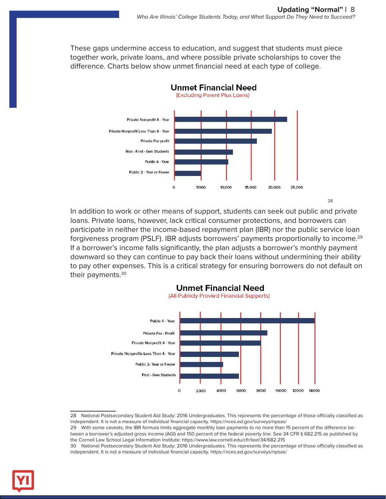These gaps undermine access to education, and suggest that students must piece together work, private loans, and where possible private scholarships to cover the difference. Charts below show unmet financial need at each type of college.



In addition to work or other means of support, students can seek out public and private loans. Private loans, however, lack critical consumer protections, and borrowers can participate in neither the income-based repayment plan (IBR) nor the public service loan forgiveness program (PSLF). IBR adjusts borrowers' payments proportionally to income.<sup>29</sup> If a borrower's income falls significantly, the plan adjusts a borrower's monthly payment downward so they can continue to pay back their loans without undermining their ability to pay other expenses. This is a critical strategy for ensuring borrowers do not default on their payments.<sup>30</sup>



<sup>28</sup> National Postsecondary Student Aid Study: 2016 Undergraduates. This represents the percentage of those officially classified as independent. It is not a measure of individual financial capacity. https://nces.ed.gov/surveys/npsas/

29 With some caveats, the IBR formula limits aggregate monthly loan payments to no more than 15 percent of the difference between a borrower's adjusted gross income (AGI) and 150 percent of the federal poverty line. See 34 CFR § 682.215 as published by the Cornell Law School Legal Information Institute: https://www.law.cornell.edu/cfr/text/34/682.215



<sup>30</sup> National Postsecondary Student Aid Study: 2016 Undergraduates. This represents the percentage of those officially classified as independent. It is not a measure of individual financial capacity. https://nces.ed.gov/surveys/npsas/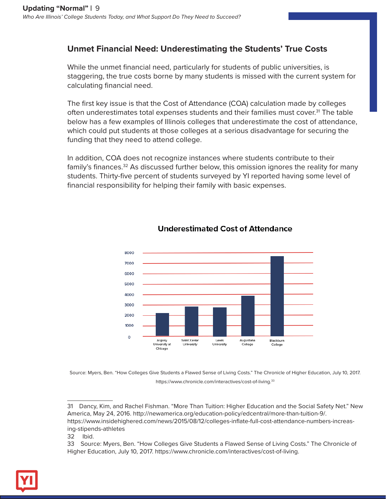# **Unmet Financial Need: Underestimating the Students' True Costs**

While the unmet financial need, particularly for students of public universities, is staggering, the true costs borne by many students is missed with the current system for calculating financial need.

The first key issue is that the Cost of Attendance (COA) calculation made by colleges often underestimates total expenses students and their families must cover.<sup>31</sup> The table below has a few examples of Illinois colleges that underestimate the cost of attendance, which could put students at those colleges at a serious disadvantage for securing the funding that they need to attend college.

In addition, COA does not recognize instances where students contribute to their family's finances.32 As discussed further below, this omission ignores the reality for many students. Thirty-five percent of students surveyed by YI reported having some level of financial responsibility for helping their family with basic expenses.



#### **Underestimated Cost of Attendance**

Source: Myers, Ben. "How Colleges Give Students a Flawed Sense of Living Costs." The Chronicle of Higher Education, July 10, 2017. https://www.chronicle.com/interactives/cost-of-living.33



<sup>31</sup> Dancy, Kim, and Rachel Fishman. "More Than Tuition: Higher Education and the Social Safety Net." New America, May 24, 2016. http://newamerica.org/education-policy/edcentral/more-than-tuition-9/. https://www.insidehighered.com/news/2015/08/12/colleges-inflate-full-cost-attendance-numbers-increasing-stipends-athletes

<sup>32</sup> Ibid.

<sup>33</sup> Source: Myers, Ben. "How Colleges Give Students a Flawed Sense of Living Costs." The Chronicle of Higher Education, July 10, 2017. https://www.chronicle.com/interactives/cost-of-living.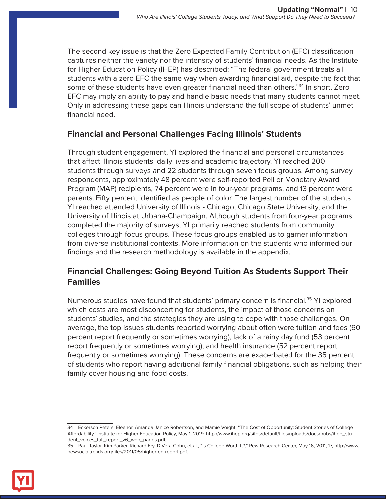The second key issue is that the Zero Expected Family Contribution (EFC) classification captures neither the variety nor the intensity of students' financial needs. As the Institute for Higher Education Policy (IHEP) has described: "The federal government treats all students with a zero EFC the same way when awarding financial aid, despite the fact that some of these students have even greater financial need than others."<sup>34</sup> In short, Zero EFC may imply an ability to pay and handle basic needs that many students cannot meet. Only in addressing these gaps can Illinois understand the full scope of students' unmet financial need.

### **Financial and Personal Challenges Facing Illinois' Students**

Through student engagement, YI explored the financial and personal circumstances that affect Illinois students' daily lives and academic trajectory. YI reached 200 students through surveys and 22 students through seven focus groups. Among survey respondents, approximately 48 percent were self-reported Pell or Monetary Award Program (MAP) recipients, 74 percent were in four-year programs, and 13 percent were parents. Fifty percent identified as people of color. The largest number of the students YI reached attended University of Illinois - Chicago, Chicago State University, and the University of Illinois at Urbana-Champaign. Although students from four-year programs completed the majority of surveys, YI primarily reached students from community colleges through focus groups. These focus groups enabled us to garner information from diverse institutional contexts. More information on the students who informed our findings and the research methodology is available in the appendix.

## **Financial Challenges: Going Beyond Tuition As Students Support Their Families**

Numerous studies have found that students' primary concern is financial.35 YI explored which costs are most disconcerting for students, the impact of those concerns on students' studies, and the strategies they are using to cope with those challenges. On average, the top issues students reported worrying about often were tuition and fees (60 percent report frequently or sometimes worrying), lack of a rainy day fund (53 percent report frequently or sometimes worrying), and health insurance (52 percent report frequently or sometimes worrying). These concerns are exacerbated for the 35 percent of students who report having additional family financial obligations, such as helping their family cover housing and food costs.



<sup>34</sup> Eckerson Peters, Eleanor, Amanda Janice Robertson, and Mamie Voight. "The Cost of Opportunity: Student Stories of College Affordability." Institute for Higher Education Policy, May 1, 2019. http://www.ihep.org/sites/default/files/uploads/docs/pubs/ihep\_student\_voices\_full\_report\_v6\_web\_pages.pdf.

<sup>35</sup> Paul Taylor, Kim Parker, Richard Fry, D'Vera Cohn, et al., "Is College Worth It?," Pew Research Center, May 16, 2011, 17, http://www. pewsocialtrends.org/files/2011/05/higher-ed-report.pdf.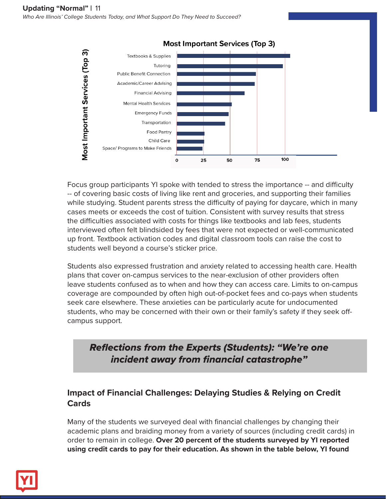

**Most Important Services (Top 3)** 

Focus group participants YI spoke with tended to stress the importance -- and difficulty -- of covering basic costs of living like rent and groceries, and supporting their families while studying. Student parents stress the difficulty of paying for daycare, which in many cases meets or exceeds the cost of tuition. Consistent with survey results that stress the difficulties associated with costs for things like textbooks and lab fees, students interviewed often felt blindsided by fees that were not expected or well-communicated up front. Textbook activation codes and digital classroom tools can raise the cost to students well beyond a course's sticker price.

Students also expressed frustration and anxiety related to accessing health care. Health plans that cover on-campus services to the near-exclusion of other providers often leave students confused as to when and how they can access care. Limits to on-campus coverage are compounded by often high out-of-pocket fees and co-pays when students seek care elsewhere. These anxieties can be particularly acute for undocumented students, who may be concerned with their own or their family's safety if they seek offcampus support.

# *Reflections from the Experts (Students): "We're one incident away from financial catastrophe"*

# **Impact of Financial Challenges: Delaying Studies & Relying on Credit Cards**

Many of the students we surveyed deal with financial challenges by changing their academic plans and braiding money from a variety of sources (including credit cards) in order to remain in college. **Over 20 percent of the students surveyed by YI reported using credit cards to pay for their education. As shown in the table below, YI found** 

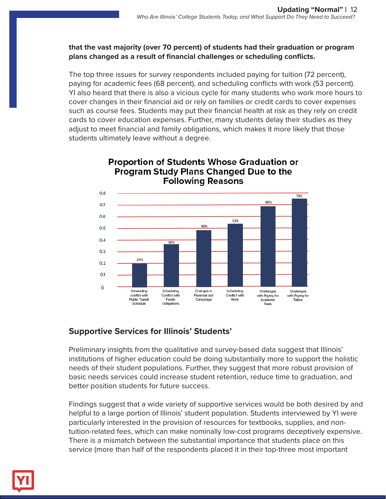#### **that the vast majority (over 70 percent) of students had their graduation or program plans changed as a result of financial challenges or scheduling conflicts.**

The top three issues for survey respondents included paying for tuition (72 percent), paying for academic fees (68 percent), and scheduling conflicts with work (53 percent). YI also heard that there is also a vicious cycle for many students who work more hours to cover changes in their financial aid or rely on families or credit cards to cover expenses such as course fees. Students may put their financial health at risk as they rely on credit cards to cover education expenses. Further, many students delay their studies as they adjust to meet financial and family obligations, which makes it more likely that those students ultimately leave without a degree.



#### **Proportion of Students Whose Graduation or Program Study Plans Changed Due to the Following Reasons**

# **Supportive Services for Illinois' Students'**

Preliminary insights from the qualitative and survey-based data suggest that Illinois' institutions of higher education could be doing substantially more to support the holistic needs of their student populations. Further, they suggest that more robust provision of basic needs services could increase student retention, reduce time to graduation, and better position students for future success.

Findings suggest that a wide variety of supportive services would be both desired by and helpful to a large portion of Illinois' student population. Students interviewed by YI were particularly interested in the provision of resources for textbooks, supplies, and nontuition-related fees, which can make nominally low-cost programs deceptively expensive. There is a mismatch between the substantial importance that students place on this service (more than half of the respondents placed it in their top-three most important

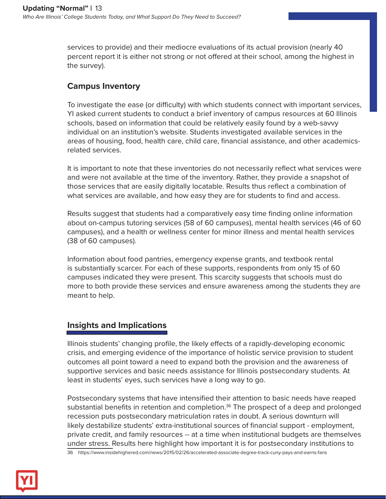services to provide) and their mediocre evaluations of its actual provision (nearly 40 percent report it is either not strong or not offered at their school, among the highest in the survey).

# **Campus Inventory**

To investigate the ease (or difficulty) with which students connect with important services, YI asked current students to conduct a brief inventory of campus resources at 60 Illinois schools, based on information that could be relatively easily found by a web-savvy individual on an institution's website. Students investigated available services in the areas of housing, food, health care, child care, financial assistance, and other academicsrelated services.

It is important to note that these inventories do not necessarily reflect what services were and were not available at the time of the inventory. Rather, they provide a snapshot of those services that are easily digitally locatable. Results thus reflect a combination of what services are available, and how easy they are for students to find and access.

Results suggest that students had a comparatively easy time finding online information about on-campus tutoring services (58 of 60 campuses), mental health services (46 of 60 campuses), and a health or wellness center for minor illness and mental health services (38 of 60 campuses).

Information about food pantries, emergency expense grants, and textbook rental is substantially scarcer. For each of these supports, respondents from only 15 of 60 campuses indicated they were present. This scarcity suggests that schools must do more to both provide these services and ensure awareness among the students they are meant to help.

# **Insights and Implications**

Illinois students' changing profile, the likely effects of a rapidly-developing economic crisis, and emerging evidence of the importance of holistic service provision to student outcomes all point toward a need to expand both the provision and the awareness of supportive services and basic needs assistance for Illinois postsecondary students. At least in students' eyes, such services have a long way to go.

Postsecondary systems that have intensified their attention to basic needs have reaped substantial benefits in retention and completion.<sup>36</sup> The prospect of a deep and prolonged recession puts postsecondary matriculation rates in doubt. A serious downturn will likely destabilize students' extra-institutional sources of financial support - employment, private credit, and family resources -- at a time when institutional budgets are themselves under stress. Results here highlight how important it is for postsecondary institutions to

36 https://www.insidehighered.com/news/2015/02/26/accelerated-associate-degree-track-cuny-pays-and-earns-fans

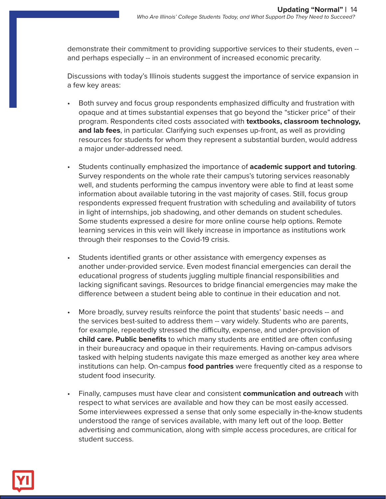demonstrate their commitment to providing supportive services to their students, even - and perhaps especially -- in an environment of increased economic precarity.

Discussions with today's Illinois students suggest the importance of service expansion in a few key areas:

- Both survey and focus group respondents emphasized difficulty and frustration with opaque and at times substantial expenses that go beyond the "sticker price" of their program. Respondents cited costs associated with **textbooks, classroom technology, and lab fees**, in particular. Clarifying such expenses up-front, as well as providing resources for students for whom they represent a substantial burden, would address a major under-addressed need.
- Students continually emphasized the importance of **academic support and tutoring**. Survey respondents on the whole rate their campus's tutoring services reasonably well, and students performing the campus inventory were able to find at least some information about available tutoring in the vast majority of cases. Still, focus group respondents expressed frequent frustration with scheduling and availability of tutors in light of internships, job shadowing, and other demands on student schedules. Some students expressed a desire for more online course help options. Remote learning services in this vein will likely increase in importance as institutions work through their responses to the Covid-19 crisis.
- Students identified grants or other assistance with emergency expenses as another under-provided service. Even modest financial emergencies can derail the educational progress of students juggling multiple financial responsibilities and lacking significant savings. Resources to bridge financial emergencies may make the difference between a student being able to continue in their education and not.
- More broadly, survey results reinforce the point that students' basic needs -- and the services best-suited to address them -- vary widely. Students who are parents, for example, repeatedly stressed the difficulty, expense, and under-provision of **child care. Public benefits** to which many students are entitled are often confusing in their bureaucracy and opaque in their requirements. Having on-campus advisors tasked with helping students navigate this maze emerged as another key area where institutions can help. On-campus **food pantries** were frequently cited as a response to student food insecurity.
- Finally, campuses must have clear and consistent **communication and outreach** with respect to what services are available and how they can be most easily accessed. Some interviewees expressed a sense that only some especially in-the-know students understood the range of services available, with many left out of the loop. Better advertising and communication, along with simple access procedures, are critical for student success.

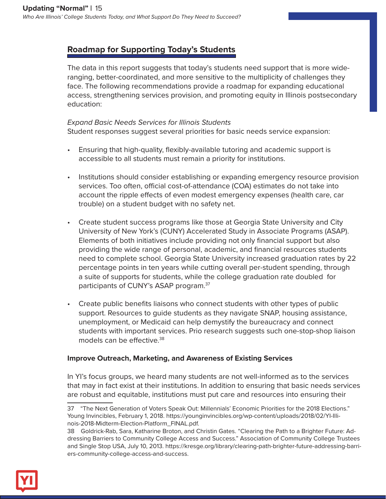# **Roadmap for Supporting Today's Students**

The data in this report suggests that today's students need support that is more wideranging, better-coordinated, and more sensitive to the multiplicity of challenges they face. The following recommendations provide a roadmap for expanding educational access, strengthening services provision, and promoting equity in Illinois postsecondary education:

#### *Expand Basic Needs Services for Illinois Students*

Student responses suggest several priorities for basic needs service expansion:

- Ensuring that high-quality, flexibly-available tutoring and academic support is accessible to all students must remain a priority for institutions.
- Institutions should consider establishing or expanding emergency resource provision services. Too often, official cost-of-attendance (COA) estimates do not take into account the ripple effects of even modest emergency expenses (health care, car trouble) on a student budget with no safety net.
- Create student success programs like those at Georgia State University and City University of New York's (CUNY) Accelerated Study in Associate Programs (ASAP). Elements of both initiatives include providing not only financial support but also providing the wide range of personal, academic, and financial resources students need to complete school. Georgia State University increased graduation rates by 22 percentage points in ten years while cutting overall per-student spending, through a suite of supports for students, while the college graduation rate doubled for participants of CUNY's ASAP program.37
- Create public benefits liaisons who connect students with other types of public support. Resources to guide students as they navigate SNAP, housing assistance, unemployment, or Medicaid can help demystify the bureaucracy and connect students with important services. Prio research suggests such one-stop-shop liaison models can be effective.38

#### **Improve Outreach, Marketing, and Awareness of Existing Services**

In YI's focus groups, we heard many students are not well-informed as to the services that may in fact exist at their institutions. In addition to ensuring that basic needs services are robust and equitable, institutions must put care and resources into ensuring their



<sup>37 &</sup>quot;The Next Generation of Voters Speak Out: Millennials' Economic Priorities for the 2018 Elections." Young Invincibles, February 1, 2018. https://younginvincibles.org/wp-content/uploads/2018/02/YI-Illinois-2018-Midterm-Election-Platform\_FINAL.pdf.

<sup>38</sup> Goldrick-Rab, Sara, Katharine Broton, and Christin Gates. "Clearing the Path to a Brighter Future: Addressing Barriers to Community College Access and Success." Association of Community College Trustees and Single Stop USA, July 10, 2013. https://kresge.org/library/clearing-path-brighter-future-addressing-barriers-community-college-access-and-success.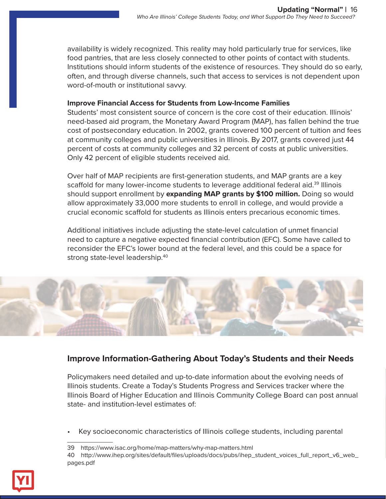availability is widely recognized. This reality may hold particularly true for services, like food pantries, that are less closely connected to other points of contact with students. Institutions should inform students of the existence of resources. They should do so early, often, and through diverse channels, such that access to services is not dependent upon word-of-mouth or institutional savvy.

#### **Improve Financial Access for Students from Low-Income Families**

Students' most consistent source of concern is the core cost of their education. Illinois' need-based aid program, the Monetary Award Program (MAP), has fallen behind the true cost of postsecondary education. In 2002, grants covered 100 percent of tuition and fees at community colleges and public universities in Illinois. By 2017, grants covered just 44 percent of costs at community colleges and 32 percent of costs at public universities. Only 42 percent of eligible students received aid.

Over half of MAP recipients are first-generation students, and MAP grants are a key scaffold for many lower-income students to leverage additional federal aid.<sup>39</sup> Illinois should support enrollment by **expanding MAP grants by \$100 million.** Doing so would allow approximately 33,000 more students to enroll in college, and would provide a crucial economic scaffold for students as Illinois enters precarious economic times.

Additional initiatives include adjusting the state-level calculation of unmet financial need to capture a negative expected financial contribution (EFC). Some have called to reconsider the EFC's lower bound at the federal level, and this could be a space for strong state-level leadership.40



#### **Improve Information-Gathering About Today's Students and their Needs**

Policymakers need detailed and up-to-date information about the evolving needs of Illinois students. Create a Today's Students Progress and Services tracker where the Illinois Board of Higher Education and Illinois Community College Board can post annual state- and institution-level estimates of:

• Key socioeconomic characteristics of Illinois college students, including parental



<sup>39</sup> https://www.isac.org/home/map-matters/why-map-matters.html

<sup>40</sup> http://www.ihep.org/sites/default/files/uploads/docs/pubs/ihep\_student\_voices\_full\_report\_v6\_web\_ pages.pdf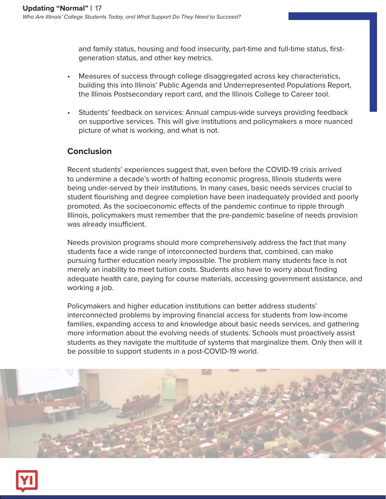and family status, housing and food insecurity, part-time and full-time status, firstgeneration status, and other key metrics.

- Measures of success through college disaggregated across key characteristics, building this into Illinois' Public Agenda and Underrepresented Populations Report, the Illinois Postsecondary report card, and the Illinois College to Career tool.
- Students' feedback on services: Annual campus-wide surveys providing feedback on supportive services. This will give institutions and policymakers a more nuanced picture of what is working, and what is not.

## **Conclusion**

Recent students' experiences suggest that, even before the COVID-19 crisis arrived to undermine a decade's worth of halting economic progress, Illinois students were being under-served by their institutions. In many cases, basic needs services crucial to student flourishing and degree completion have been inadequately provided and poorly promoted. As the socioeconomic effects of the pandemic continue to ripple through Illinois, policymakers must remember that the pre-pandemic baseline of needs provision was already insufficient.

Needs provision programs should more comprehensively address the fact that many students face a wide range of interconnected burdens that, combined, can make pursuing further education nearly impossible. The problem many students face is not merely an inability to meet tuition costs. Students also have to worry about finding adequate health care, paying for course materials, accessing government assistance, and working a job.

Policymakers and higher education institutions can better address students' interconnected problems by improving financial access for students from low-income families, expanding access to and knowledge about basic needs services, and gathering more information about the evolving needs of students. Schools must proactively assist students as they navigate the multitude of systems that marginalize them. Only then will it be possible to support students in a post-COVID-19 world.



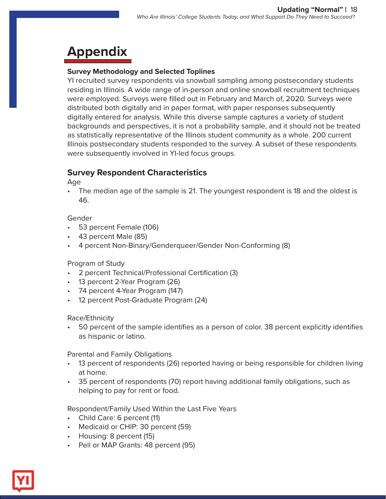# **Appendix**

#### **Survey Methodology and Selected Toplines**

YI recruited survey respondents via snowball sampling among postsecondary students residing in Illinois. A wide range of in-person and online snowball recruitment techniques were employed. Surveys were filled out in February and March of, 2020. Surveys were distributed both digitally and in paper format, with paper responses subsequently digitally entered for analysis. While this diverse sample captures a variety of student backgrounds and perspectives, it is not a probability sample, and it should not be treated as statistically representative of the Illinois student community as a whole. 200 current Illinois postsecondary students responded to the survey. A subset of these respondents were subsequently involved in YI-led focus groups.

### **Survey Respondent Characteristics**

Age

• The median age of the sample is 21. The youngest respondent is 18 and the oldest is 46.

#### Gender

- 53 percent Female (106)
- 43 percent Male (85)
- 4 percent Non-Binary/Genderqueer/Gender Non-Conforming (8)

#### Program of Study

- 2 percent Technical/Professional Certification (3)
- 13 percent 2-Year Program (26)
- 74 percent 4-Year Program (147)
- 12 percent Post-Graduate Program (24)

#### Race/Ethnicity

• 50 percent of the sample identifies as a person of color. 38 percent explicitly identifies as hispanic or latino.

Parental and Family Obligations

- 13 percent of respondents (26) reported having or being responsible for children living at home.
- 35 percent of respondents (70) report having additional family obligations, such as helping to pay for rent or food.

Respondent/Family Used Within the Last Five Years

- Child Care: 6 percent (11)
- Medicaid or CHIP: 30 percent (59)
- Housing: 8 percent (15)
- Pell or MAP Grants: 48 percent (95)

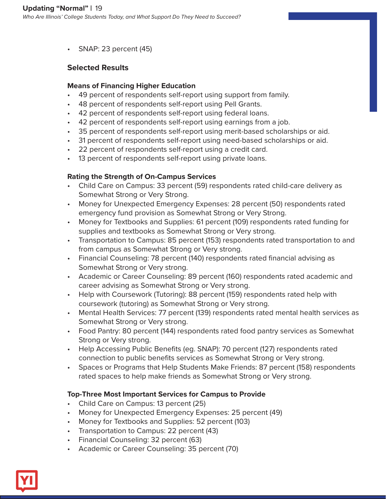• SNAP: 23 percent (45)

#### **Selected Results**

#### **Means of Financing Higher Education**

- 49 percent of respondents self-report using support from family.
- 48 percent of respondents self-report using Pell Grants.
- 42 percent of respondents self-report using federal loans.
- 42 percent of respondents self-report using earnings from a job.
- 35 percent of respondents self-report using merit-based scholarships or aid.
- 31 percent of respondents self-report using need-based scholarships or aid.
- 22 percent of respondents self-report using a credit card.
- 13 percent of respondents self-report using private loans.

#### **Rating the Strength of On-Campus Services**

- Child Care on Campus: 33 percent (59) respondents rated child-care delivery as Somewhat Strong or Very Strong.
- Money for Unexpected Emergency Expenses: 28 percent (50) respondents rated emergency fund provision as Somewhat Strong or Very Strong.
- Money for Textbooks and Supplies: 61 percent (109) respondents rated funding for supplies and textbooks as Somewhat Strong or Very strong.
- Transportation to Campus: 85 percent (153) respondents rated transportation to and from campus as Somewhat Strong or Very strong.
- Financial Counseling: 78 percent (140) respondents rated financial advising as Somewhat Strong or Very strong.
- Academic or Career Counseling: 89 percent (160) respondents rated academic and career advising as Somewhat Strong or Very strong.
- Help with Coursework (Tutoring): 88 percent (159) respondents rated help with coursework (tutoring) as Somewhat Strong or Very strong.
- Mental Health Services: 77 percent (139) respondents rated mental health services as Somewhat Strong or Very strong.
- Food Pantry: 80 percent (144) respondents rated food pantry services as Somewhat Strong or Very strong.
- Help Accessing Public Benefits (eg. SNAP): 70 percent (127) respondents rated connection to public benefits services as Somewhat Strong or Very strong.
- Spaces or Programs that Help Students Make Friends: 87 percent (158) respondents rated spaces to help make friends as Somewhat Strong or Very strong.

#### **Top-Three Most Important Services for Campus to Provide**

- Child Care on Campus: 13 percent (25)
- Money for Unexpected Emergency Expenses: 25 percent (49)
- Money for Textbooks and Supplies: 52 percent (103)
- Transportation to Campus: 22 percent (43)
- Financial Counseling: 32 percent (63)
- Academic or Career Counseling: 35 percent (70)